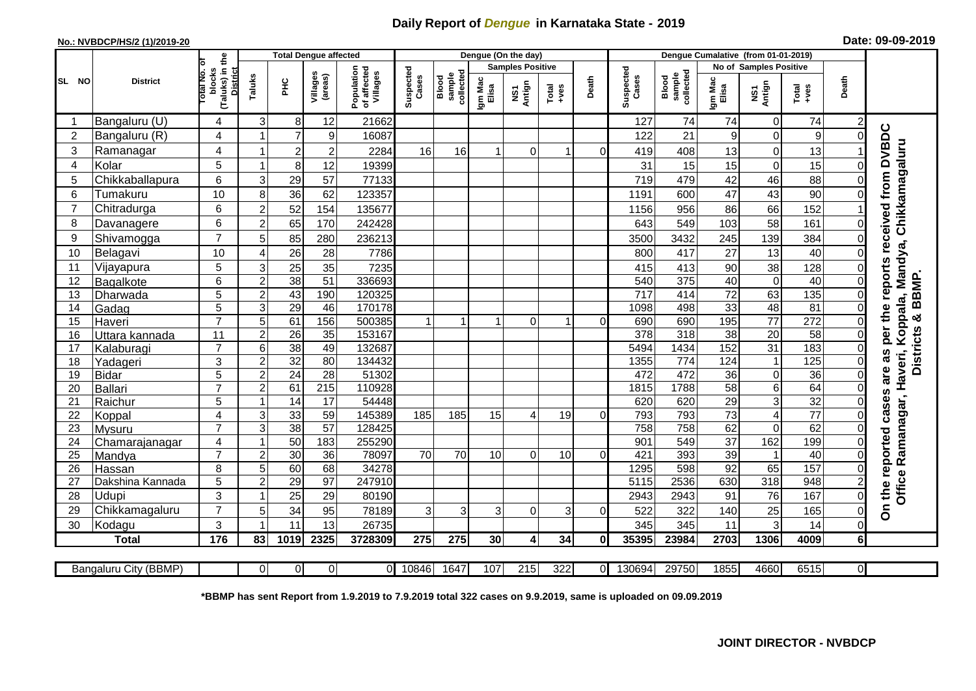## **Daily Report of** *Dengue* **in Karnataka State - 2019**

## **No.: NVBDCP/HS/2 (1)/2019-20 Date: 09-09-2019**

|                | <b>District</b>          | the                                           | <b>Total Dengue affected</b> |                       |                     |                                       | Dengue (On the day) |                              |                  |                         |               |          |                    |                              |                               |                    |                                                              |          |                                               |
|----------------|--------------------------|-----------------------------------------------|------------------------------|-----------------------|---------------------|---------------------------------------|---------------------|------------------------------|------------------|-------------------------|---------------|----------|--------------------|------------------------------|-------------------------------|--------------------|--------------------------------------------------------------|----------|-----------------------------------------------|
| SL NO          |                          |                                               |                              |                       |                     |                                       |                     |                              |                  | <b>Samples Positive</b> |               |          |                    |                              | <b>No of Samples Positive</b> |                    |                                                              |          |                                               |
|                |                          | (Taluks) in<br>District<br>blocks<br>otal No. | Taluks                       | Ξ                     | Villages<br>(areas) | Population<br>of affected<br>Villages | Suspected<br>Cases  | collected<br>sample<br>Blood | Igm Mac<br>Elisa | Antign<br>ŠΣ            | Total<br>$-1$ | Death    | Suspected<br>Cases | Blood<br>sample<br>collected | Igm Mac<br>Elisa              | NS1<br>Antign      | $\begin{array}{c}\n\text{Total} \\ \text{Area}\n\end{array}$ | Death    |                                               |
|                | Bangaluru (U)            | 4                                             | 3                            | 8                     | 12                  | 21662                                 |                     |                              |                  |                         |               |          | 127                | 74                           | 74                            | $\mathbf 0$        | 74                                                           |          |                                               |
| $\overline{2}$ | Bangaluru (R)            | 4                                             | 1                            | $\overline{7}$        | 9                   | 16087                                 |                     |                              |                  |                         |               |          | 122                | 21                           | 9                             | $\Omega$           | 9                                                            | ∩        |                                               |
| 3              | Ramanagar                | 4                                             | $\mathbf 1$                  | $\overline{c}$        | $\overline{2}$      | 2284                                  | 16                  | 16                           |                  | $\Omega$                | -1            | $\Omega$ | 419                | 408                          | 13                            | $\Omega$           | 13                                                           |          | reports received from DVBDC<br>Chikkamagaluru |
| 4              | Kolar                    | 5                                             | $\mathbf{1}$                 | $\,8\,$               | 12                  | 19399                                 |                     |                              |                  |                         |               |          | 31                 | 15                           | 15                            | $\Omega$           | 15                                                           | 0        |                                               |
| 5              | Chikkaballapura          | 6                                             | 3                            | 29                    | 57                  | 77133                                 |                     |                              |                  |                         |               |          | 719                | 479                          | 42                            | 46                 | 88                                                           |          |                                               |
| 6              | Tumakuru                 | 10                                            | 8                            | 36                    | 62                  | 123357                                |                     |                              |                  |                         |               |          | 1191               | 600                          | 47                            | 43                 | 90                                                           |          |                                               |
| $\overline{7}$ | Chitradurga              | 6                                             | $\overline{c}$               | 52                    | 154                 | 135677                                |                     |                              |                  |                         |               |          | 1156               | 956                          | 86                            | 66                 | 152                                                          |          |                                               |
| 8              | Davanagere               | 6                                             | $\overline{c}$               | 65                    | 170                 | 242428                                |                     |                              |                  |                         |               |          | 643                | 549                          | 103                           | 58                 | 161                                                          | 0        |                                               |
| 9              | Shivamogga               | $\overline{7}$                                | 5                            | 85                    | 280                 | 236213                                |                     |                              |                  |                         |               |          | 3500               | 3432                         | 245                           | 139                | 384                                                          |          |                                               |
| 10             | Belagavi                 | 10                                            | 4                            | 26                    | 28                  | 7786                                  |                     |                              |                  |                         |               |          | 800                | 417                          | 27                            | 13                 | 40                                                           |          | Koppala, Mandya,                              |
| 11             | Vijayapura               | 5                                             | 3                            | 25                    | 35                  | 7235                                  |                     |                              |                  |                         |               |          | 415                | 413                          | 90                            | 38                 | 128                                                          | 0        |                                               |
| 12             | Bagalkote                | 6                                             | $\mathbf 2$                  | 38                    | 51                  | 336693                                |                     |                              |                  |                         |               |          | 540                | 375                          | 40                            | $\mathbf 0$        | 40                                                           | 0        | & BBMP                                        |
| 13             | Dharwada                 | 5                                             | $\overline{2}$               | 43                    | 190                 | 120325                                |                     |                              |                  |                         |               |          | 717                | 414                          | $\overline{72}$               | 63                 | 135                                                          | $\Omega$ |                                               |
| 14             | Gadag                    | 5                                             | $\overline{3}$               | 29                    | 46                  | 170178                                |                     |                              |                  |                         |               |          | 1098               | 498                          | 33                            | 48                 | $\overline{81}$                                              | 0        |                                               |
| 15             | Haveri                   | $\overline{7}$                                | 5                            | 61                    | 156                 | 500385                                | $\mathbf{1}$        |                              |                  | $\Omega$                | 1             | $\Omega$ | 690                | 690                          | 195                           | 77                 | 272                                                          | 0        | per the                                       |
| 16             | Uttara kannada           | 11                                            | $\overline{2}$               | $\overline{26}$       | $\overline{35}$     | 153167                                |                     |                              |                  |                         |               |          | $\overline{378}$   | 318                          | 38                            | $\overline{20}$    | 58                                                           |          |                                               |
| 17             | Kalaburagi               |                                               | 6                            | 38                    | 49                  | 132687                                |                     |                              |                  |                         |               |          | 5494               | 1434                         | 152                           | 31                 | 183                                                          |          | 8g                                            |
| 18             | Yadageri                 | 3                                             | $\boldsymbol{2}$             | $\overline{32}$       | 80                  | 134432                                |                     |                              |                  |                         |               |          | 1355               | 774                          | 124                           | $\overline{1}$     | 125                                                          |          | <b>Districts</b>                              |
| 19             | <b>Bidar</b>             | 5                                             | $\overline{2}$               | 24                    | $\overline{28}$     | 51302                                 |                     |                              |                  |                         |               |          | 472                | 472                          | $\overline{36}$               | $\mathbf 0$        | $\overline{36}$                                              | $\Omega$ | are                                           |
| 20             | Ballari                  | 7                                             | $\overline{2}$               | 61                    | 215                 | 110928                                |                     |                              |                  |                         |               |          | 1815               | 1788                         | 58                            | 6                  | 64                                                           |          |                                               |
| 21             | Raichur                  | 5                                             | 1                            | 14                    | 17                  | 54448                                 |                     |                              |                  |                         |               |          | 620                | 620                          | $\overline{29}$               | 3                  | $\overline{32}$                                              |          | cases                                         |
| 22             | Koppal                   | 4<br>$\overline{7}$                           | $\mathbf{3}$                 | 33                    | 59                  | 145389                                | 185                 | 185                          | 15               | 4                       | 19            | $\Omega$ | 793                | 793                          | 73                            | 4                  | $\overline{77}$                                              | 0        |                                               |
| 23<br>24       | Mysuru                   | 4                                             | 3<br>$\mathbf{1}$            | $\overline{38}$<br>50 | 57<br>183           | 128425<br>255290                      |                     |                              |                  |                         |               |          | 758<br>901         | 758<br>549                   | 62<br>$\overline{37}$         | $\mathbf 0$<br>162 | 62<br>199                                                    |          |                                               |
| 25             | Chamarajanagar<br>Mandya |                                               | $\overline{\mathbf{c}}$      | 30                    | 36                  | 78097                                 | 70                  | 70                           | 10               | 0                       | 10            | 0        | 421                | 393                          | 39                            |                    | 40                                                           |          | Ramanagar, Haveri,                            |
| 26             | Hassan                   | 8                                             | 5                            | 60                    | 68                  | 34278                                 |                     |                              |                  |                         |               |          | 1295               | 598                          | 92                            | 65                 | 157                                                          | 0        |                                               |
| 27             | Dakshina Kannada         | 5                                             | $\overline{\mathbf{c}}$      | $\overline{29}$       | $\overline{97}$     | 247910                                |                     |                              |                  |                         |               |          | 5115               | 2536                         | 630                           | 318                | 948                                                          |          |                                               |
| 28             | Udupi                    | 3                                             | 1                            | 25                    | 29                  | 80190                                 |                     |                              |                  |                         |               |          | 2943               | 2943                         | 91                            | 76                 | 167                                                          | $\Omega$ | the reported<br>Office                        |
| 29             | Chikkamagaluru           | $\overline{7}$                                | 5                            | 34                    | 95                  | 78189                                 | 3                   | 3                            | 3                | 0                       | 3             | ∩        | 522                | 322                          | 140                           | 25                 | 165                                                          | 0        | δ                                             |
| 30             | Kodagu                   | 3                                             | $\mathbf{1}$                 | 11                    | 13                  | 26735                                 |                     |                              |                  |                         |               |          | 345                | 345                          | 11                            | 3                  | 14                                                           | 0        |                                               |
|                | <b>Total</b>             | 176                                           | 83                           | 1019                  | 2325                | 3728309                               | 275                 | 275                          | 30               | 4                       | 34            | $\bf{0}$ | 35395              | 23984                        | 2703                          | 1306               | 4009                                                         | 6        |                                               |
|                |                          |                                               |                              |                       |                     |                                       |                     |                              |                  |                         |               |          |                    |                              |                               |                    |                                                              |          |                                               |
|                | Bangaluru City (BBMP)    |                                               | $\Omega$                     | $\overline{0}$        | $\Omega$            |                                       | 0 10846             | 1647                         | 107              | 215                     | 322           | $\Omega$ | 130694             | 29750                        | 1855                          | 4660               | 6515                                                         | $\Omega$ |                                               |

**\*BBMP has sent Report from 1.9.2019 to 7.9.2019 total 322 cases on 9.9.2019, same is uploaded on 09.09.2019**